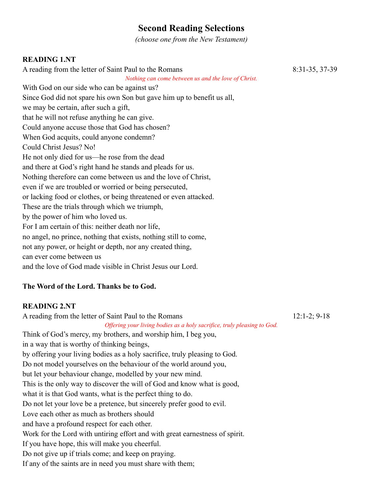# **Second Reading Selections**

*(choose one from the New Testament)*

#### **READING 1.NT**

A reading from the letter of Saint Paul to the Romans 8:31-35, 37-39 *Nothing can come between us and the love of Christ.* With God on our side who can be against us? Since God did not spare his own Son but gave him up to benefit us all, we may be certain, after such a gift, that he will not refuse anything he can give. Could anyone accuse those that God has chosen? When God acquits, could anyone condemn? Could Christ Jesus? No! He not only died for us—he rose from the dead and there at God's right hand he stands and pleads for us. Nothing therefore can come between us and the love of Christ, even if we are troubled or worried or being persecuted, or lacking food or clothes, or being threatened or even attacked. These are the trials through which we triumph, by the power of him who loved us. For I am certain of this: neither death nor life, no angel, no prince, nothing that exists, nothing still to come, not any power, or height or depth, nor any created thing, can ever come between us and the love of God made visible in Christ Jesus our Lord.

## **The Word of the Lord. Thanks be to God.**

### **READING 2.NT**

A reading from the letter of Saint Paul to the Romans 12:1-2; 9-18 *Of ering your living bodies as a holy sacrifice, truly pleasing to God.* Think of God's mercy, my brothers, and worship him, I beg you, in a way that is worthy of thinking beings, by offering your living bodies as a holy sacrifice, truly pleasing to God. Do not model yourselves on the behaviour of the world around you, but let your behaviour change, modelled by your new mind. This is the only way to discover the will of God and know what is good, what it is that God wants, what is the perfect thing to do. Do not let your love be a pretence, but sincerely prefer good to evil. Love each other as much as brothers should and have a profound respect for each other. Work for the Lord with untiring effort and with great earnestness of spirit. If you have hope, this will make you cheerful. Do not give up if trials come; and keep on praying. If any of the saints are in need you must share with them;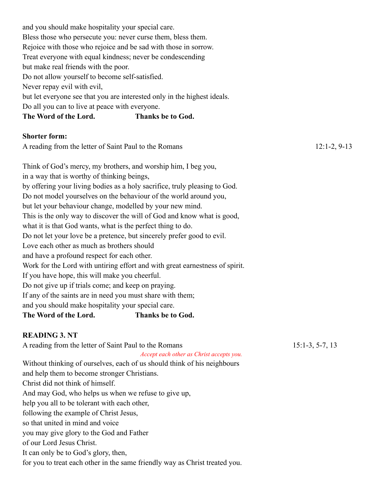| and you should make hospitality your special care.                                                                                                                       |                   |
|--------------------------------------------------------------------------------------------------------------------------------------------------------------------------|-------------------|
| Bless those who persecute you: never curse them, bless them.                                                                                                             |                   |
|                                                                                                                                                                          |                   |
| Rejoice with those who rejoice and be sad with those in sorrow.                                                                                                          |                   |
| Treat everyone with equal kindness; never be condescending                                                                                                               |                   |
| but make real friends with the poor.                                                                                                                                     |                   |
| Do not allow yourself to become self-satisfied.                                                                                                                          |                   |
| Never repay evil with evil,                                                                                                                                              |                   |
| but let everyone see that you are interested only in the highest ideals.<br>Do all you can to live at peace with everyone.<br>The Word of the Lord.<br>Thanks be to God. |                   |
|                                                                                                                                                                          |                   |
|                                                                                                                                                                          |                   |
| <b>Shorter form:</b>                                                                                                                                                     |                   |
| A reading from the letter of Saint Paul to the Romans                                                                                                                    | $12:1-2, 9-13$    |
| Think of God's mercy, my brothers, and worship him, I beg you,                                                                                                           |                   |
| in a way that is worthy of thinking beings,                                                                                                                              |                   |
| by offering your living bodies as a holy sacrifice, truly pleasing to God.                                                                                               |                   |
| Do not model yourselves on the behaviour of the world around you,                                                                                                        |                   |
| but let your behaviour change, modelled by your new mind.                                                                                                                |                   |
| This is the only way to discover the will of God and know what is good,                                                                                                  |                   |
| what it is that God wants, what is the perfect thing to do.                                                                                                              |                   |
| Do not let your love be a pretence, but sincerely prefer good to evil.                                                                                                   |                   |
| Love each other as much as brothers should                                                                                                                               |                   |
| and have a profound respect for each other.                                                                                                                              |                   |
| Work for the Lord with untiring effort and with great earnestness of spirit.                                                                                             |                   |
| If you have hope, this will make you cheerful.                                                                                                                           |                   |
| Do not give up if trials come; and keep on praying.                                                                                                                      |                   |
| If any of the saints are in need you must share with them;                                                                                                               |                   |
| and you should make hospitality your special care.                                                                                                                       |                   |
| The Word of the Lord.<br><b>Thanks be to God.</b>                                                                                                                        |                   |
| <b>READING 3. NT</b>                                                                                                                                                     |                   |
| A reading from the letter of Saint Paul to the Romans                                                                                                                    | $15:1-3, 5-7, 13$ |
| Accept each other as Christ accepts you.                                                                                                                                 |                   |
| Without thinking of ourselves, each of us should think of his neighbours                                                                                                 |                   |
| and help them to become stronger Christians.                                                                                                                             |                   |
| Christ did not think of himself.                                                                                                                                         |                   |
| And may God, who helps us when we refuse to give up,                                                                                                                     |                   |
| help you all to be tolerant with each other,                                                                                                                             |                   |
| following the example of Christ Jesus,                                                                                                                                   |                   |
| so that united in mind and voice                                                                                                                                         |                   |
| you may give glory to the God and Father                                                                                                                                 |                   |
| of our Lord Jesus Christ.                                                                                                                                                |                   |
| It can only be to God's glory, then,                                                                                                                                     |                   |
| for you to treat each other in the same friendly way as Christ treated you.                                                                                              |                   |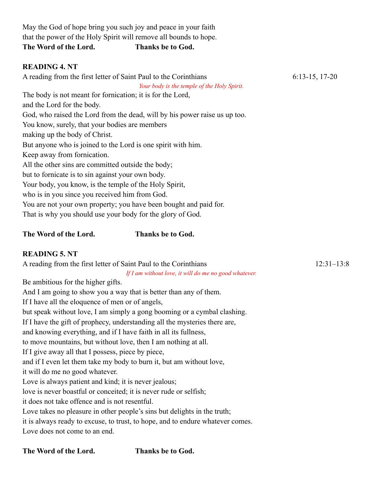May the God of hope bring you such joy and peace in your faith that the power of the Holy Spirit will remove all bounds to hope. **The Word of the Lord. Thanks be to God. READING 4. NT** A reading from the first letter of Saint Paul to the Corinthians 6:13-15, 17-20 *Your body is the temple of the Holy Spirit.* The body is not meant for fornication; it is for the Lord, and the Lord for the body. God, who raised the Lord from the dead, will by his power raise us up too. You know, surely, that your bodies are members making up the body of Christ. But anyone who is joined to the Lord is one spirit with him. Keep away from fornication. All the other sins are committed outside the body; but to fornicate is to sin against your own body. Your body, you know, is the temple of the Holy Spirit, who is in you since you received him from God. You are not your own property; you have been bought and paid for. That is why you should use your body for the glory of God. **The Word of the Lord. Thanks be to God. READING 5. NT** A reading from the first letter of Saint Paul to the Corinthians 12:31–13:8 *If I am without love, it will do me no good whatever.* Be ambitious for the higher gifts. And I am going to show you a way that is better than any of them. If I have all the eloquence of men or of angels, but speak without love, I am simply a gong booming or a cymbal clashing. If I have the gift of prophecy, understanding all the mysteries there are, and knowing everything, and if I have faith in all its fullness, to move mountains, but without love, then I am nothing at all. If I give away all that I possess, piece by piece, and if I even let them take my body to burn it, but am without love, it will do me no good whatever. Love is always patient and kind; it is never jealous; love is never boastful or conceited; it is never rude or selfish; it does not take offence and is not resentful. Love takes no pleasure in other people's sins but delights in the truth; it is always ready to excuse, to trust, to hope, and to endure whatever comes. Love does not come to an end.

**The Word of the Lord. Thanks be to God.**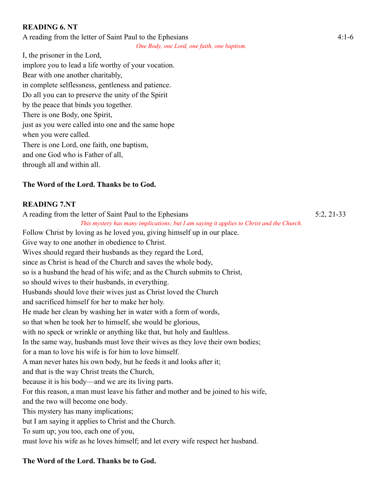## **READING 6. NT**

A reading from the letter of Saint Paul to the Ephesians 4:1-6

*One Body, one Lord, one faith, one baptism.*

I, the prisoner in the Lord, implore you to lead a life worthy of your vocation. Bear with one another charitably, in complete selflessness, gentleness and patience. Do all you can to preserve the unity of the Spirit by the peace that binds you together. There is one Body, one Spirit, just as you were called into one and the same hope when you were called. There is one Lord, one faith, one baptism, and one God who is Father of all, through all and within all.

## **The Word of the Lord. Thanks be to God.**

## **READING 7.NT**

A reading from the letter of Saint Paul to the Ephesians 5:2, 21-33 *This mystery has many implications; but I am saying it applies to Christ and the Church.* Follow Christ by loving as he loved you, giving himself up in our place. Give way to one another in obedience to Christ. Wives should regard their husbands as they regard the Lord, since as Christ is head of the Church and saves the whole body, so is a husband the head of his wife; and as the Church submits to Christ, so should wives to their husbands, in everything. Husbands should love their wives just as Christ loved the Church and sacrificed himself for her to make her holy. He made her clean by washing her in water with a form of words, so that when he took her to himself, she would be glorious, with no speck or wrinkle or anything like that, but holy and faultless. In the same way, husbands must love their wives as they love their own bodies; for a man to love his wife is for him to love himself. A man never hates his own body, but he feeds it and looks after it; and that is the way Christ treats the Church, because it is his body—and we are its living parts. For this reason, a man must leave his father and mother and be joined to his wife, and the two will become one body. This mystery has many implications; but I am saying it applies to Christ and the Church. To sum up; you too, each one of you, must love his wife as he loves himself; and let every wife respect her husband.

## **The Word of the Lord. Thanks be to God.**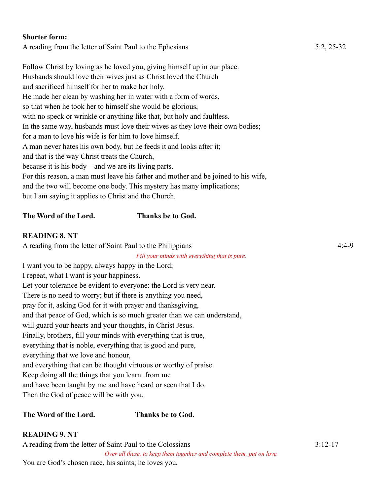#### **Shorter form:**

A reading from the letter of Saint Paul to the Ephesians 5:2, 25-32

Follow Christ by loving as he loved you, giving himself up in our place. Husbands should love their wives just as Christ loved the Church and sacrificed himself for her to make her holy. He made her clean by washing her in water with a form of words, so that when he took her to himself she would be glorious, with no speck or wrinkle or anything like that, but holy and faultless. In the same way, husbands must love their wives as they love their own bodies; for a man to love his wife is for him to love himself. A man never hates his own body, but he feeds it and looks after it; and that is the way Christ treats the Church, because it is his body—and we are its living parts. For this reason, a man must leave his father and mother and be joined to his wife, and the two will become one body. This mystery has many implications; but I am saying it applies to Christ and the Church.

#### **The Word of the Lord. Thanks be to God.**

#### **READING 8. NT**

| A reading from the letter of Saint Paul to the Philippians              | $4:4-9$ |
|-------------------------------------------------------------------------|---------|
| Fill your minds with everything that is pure.                           |         |
| I want you to be happy, always happy in the Lord;                       |         |
| I repeat, what I want is your happiness.                                |         |
| Let your tolerance be evident to everyone: the Lord is very near.       |         |
| There is no need to worry; but if there is anything you need,           |         |
| pray for it, asking God for it with prayer and thanksgiving,            |         |
| and that peace of God, which is so much greater than we can understand, |         |
| will guard your hearts and your thoughts, in Christ Jesus.              |         |
| Finally, brothers, fill your minds with everything that is true,        |         |
| everything that is noble, everything that is good and pure,             |         |
| everything that we love and honour,                                     |         |
| and everything that can be thought virtuous or worthy of praise.        |         |
| Keep doing all the things that you learnt from me                       |         |
| and have been taught by me and have heard or seen that I do.            |         |
| Then the God of peace will be with you.                                 |         |
|                                                                         |         |

**The Word of the Lord. Thanks be to God.**

## **READING 9. NT**

A reading from the letter of Saint Paul to the Colossians 3:12-17 *Over all these, to keep them together and complete them, put on love.* You are God's chosen race, his saints; he loves you,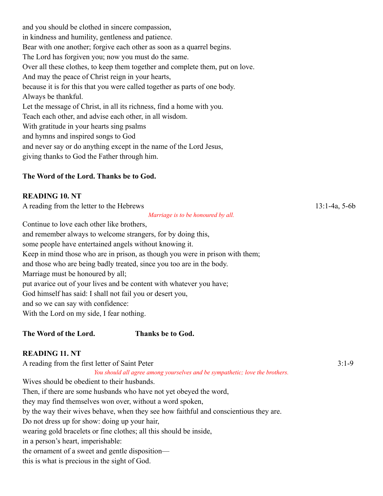and you should be clothed in sincere compassion, in kindness and humility, gentleness and patience. Bear with one another; forgive each other as soon as a quarrel begins. The Lord has forgiven you; now you must do the same. Over all these clothes, to keep them together and complete them, put on love. And may the peace of Christ reign in your hearts, because it is for this that you were called together as parts of one body. Always be thankful. Let the message of Christ, in all its richness, find a home with you. Teach each other, and advise each other, in all wisdom. With gratitude in your hearts sing psalms and hymns and inspired songs to God and never say or do anything except in the name of the Lord Jesus, giving thanks to God the Father through him.

## **The Word of the Lord. Thanks be to God.**

## **READING 10. NT**

A reading from the letter to the Hebrews 13:1-4a, 5-6b

*Marriage is to be honoured by all.*

Continue to love each other like brothers, and remember always to welcome strangers, for by doing this, some people have entertained angels without knowing it. Keep in mind those who are in prison, as though you were in prison with them; and those who are being badly treated, since you too are in the body. Marriage must be honoured by all; put avarice out of your lives and be content with whatever you have; God himself has said: I shall not fail you or desert you, and so we can say with confidence: With the Lord on my side, I fear nothing.

**The Word of the Lord. Thanks be to God.**

## **READING 11. NT**

A reading from the first letter of Saint Peter 3:1-9 *You should all agree among yourselves and be sympathetic; love the brothers.* Wives should be obedient to their husbands. Then, if there are some husbands who have not yet obeyed the word, they may find themselves won over, without a word spoken, by the way their wives behave, when they see how faithful and conscientious they are. Do not dress up for show: doing up your hair, wearing gold bracelets or fine clothes; all this should be inside, in a person's heart, imperishable: the ornament of a sweet and gentle disposition this is what is precious in the sight of God.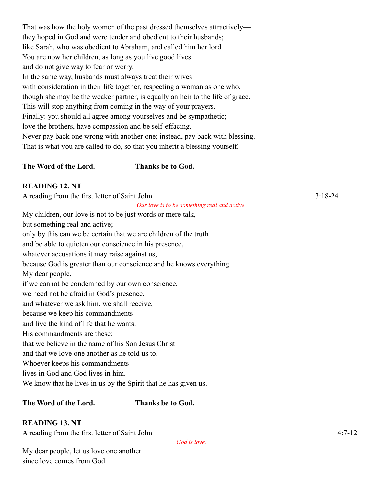That was how the holy women of the past dressed themselves attractively they hoped in God and were tender and obedient to their husbands; like Sarah, who was obedient to Abraham, and called him her lord. You are now her children, as long as you live good lives and do not give way to fear or worry. In the same way, husbands must always treat their wives with consideration in their life together, respecting a woman as one who, though she may be the weaker partner, is equally an heir to the life of grace. This will stop anything from coming in the way of your prayers. Finally: you should all agree among yourselves and be sympathetic; love the brothers, have compassion and be self-effacing. Never pay back one wrong with another one; instead, pay back with blessing. That is what you are called to do, so that you inherit a blessing yourself.

**The Word of the Lord. Thanks be to God.**

## **READING 12. NT**

A reading from the first letter of Saint John 3:18-24 *Our love is to be something real and active.* My children, our love is not to be just words or mere talk, but something real and active; only by this can we be certain that we are children of the truth and be able to quieten our conscience in his presence, whatever accusations it may raise against us, because God is greater than our conscience and he knows everything. My dear people, if we cannot be condemned by our own conscience, we need not be afraid in God's presence, and whatever we ask him, we shall receive, because we keep his commandments and live the kind of life that he wants. His commandments are these: that we believe in the name of his Son Jesus Christ and that we love one another as he told us to. Whoever keeps his commandments lives in God and God lives in him. We know that he lives in us by the Spirit that he has given us.

**The Word of the Lord. Thanks be to God.**

**READING 13. NT**

A reading from the first letter of Saint John 4:7-12

*God is love.*

My dear people, let us love one another since love comes from God